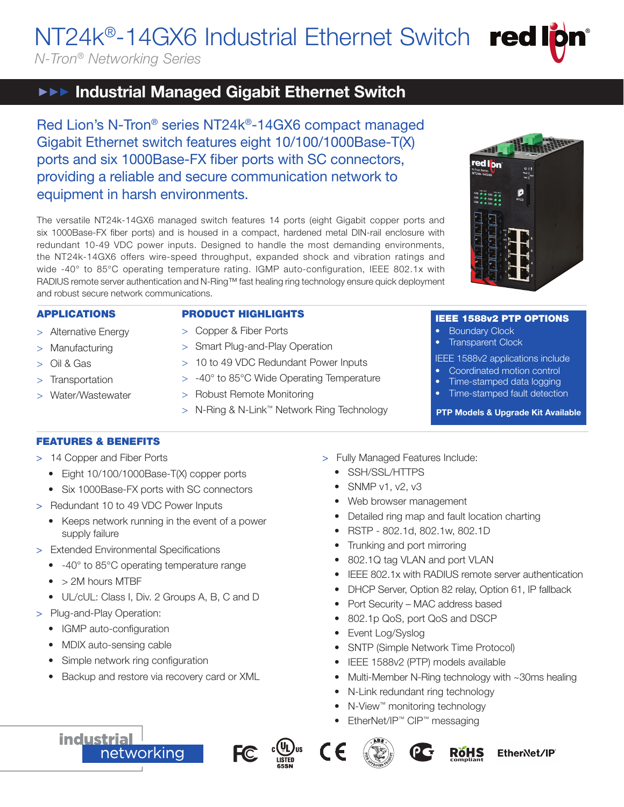NT24k®-14GX6 Industrial Ethernet Switch red

*N-Tron® Networking Series*

# **IFFE** Industrial Managed Gigabit Ethernet Switch

Red Lion's N-Tron® series NT24k®-14GX6 compact managed Gigabit Ethernet switch features eight 10/100/1000Base-T(X) ports and six 1000Base-FX fiber ports with SC connectors, providing a reliable and secure communication network to equipment in harsh environments.

The versatile NT24k-14GX6 managed switch features 14 ports (eight Gigabit copper ports and six 1000Base-FX fiber ports) and is housed in a compact, hardened metal DIN-rail enclosure with redundant 10-49 VDC power inputs. Designed to handle the most demanding environments, the NT24k-14GX6 offers wire-speed throughput, expanded shock and vibration ratings and wide -40° to 85°C operating temperature rating. IGMP auto-configuration, IEEE 802.1x with RADIUS remote server authentication and N-Ring™ fast healing ring technology ensure quick deployment and robust secure network communications.

# APPLICATIONS

> Alternative Energy

# PRODUCT HIGHLIGHTS

- 
- > Manufacturing
- > Oil & Gas
- > Transportation
- > Water/Wastewater
- > Copper & Fiber Ports
- > Smart Plug-and-Play Operation
- > 10 to 49 VDC Redundant Power Inputs
- > -40° to 85°C Wide Operating Temperature
- > Robust Remote Monitoring
- > N-Ring & N-Link™ Network Ring Technology

# FEATURES & BENEFITS

- > 14 Copper and Fiber Ports
	- Eight 10/100/1000Base-T(X) copper ports
	- Six 1000Base-FX ports with SC connectors
- > Redundant 10 to 49 VDC Power Inputs
	- Keeps network running in the event of a power supply failure
- > Extended Environmental Specifications
	- -40° to 85°C operating temperature range
	- > 2M hours MTBF
	- UL/cUL: Class I, Div. 2 Groups A, B, C and D
- > Plug-and-Play Operation:

**industrial** 

- IGMP auto-configuration
- MDIX auto-sensing cable
- Simple network ring configuration
- Backup and restore via recovery card or XML

networking

- > Fully Managed Features Include:
	- SSH/SSL/HTTPS
	- SNMP v1, v2, v3
	- Web browser management
	- Detailed ring map and fault location charting
	- RSTP 802.1d, 802.1w, 802.1D
	- Trunking and port mirroring
	- 802.1Q tag VLAN and port VLAN
	- IEEE 802.1x with RADIUS remote server authentication
	- DHCP Server, Option 82 relay, Option 61, IP fallback
	- Port Security MAC address based
	- 802.1p QoS, port QoS and DSCP
	- Event Log/Syslog
	- SNTP (Simple Network Time Protocol)
	- IEEE 1588v2 (PTP) models available
	- Multi-Member N-Ring technology with ~30ms healing
	- N-Link redundant ring technology
	- N-View™ monitoring technology
	- EtherNet/IP™ CIP™ messaging











IEEE 1588v2 PTP OPTIONS

IEEE 1588v2 applications include • Coordinated motion control • Time-stamped data logging • Time-stamped fault detection PTP Models & Upgrade Kit Available

**Boundary Clock Transparent Clock** 



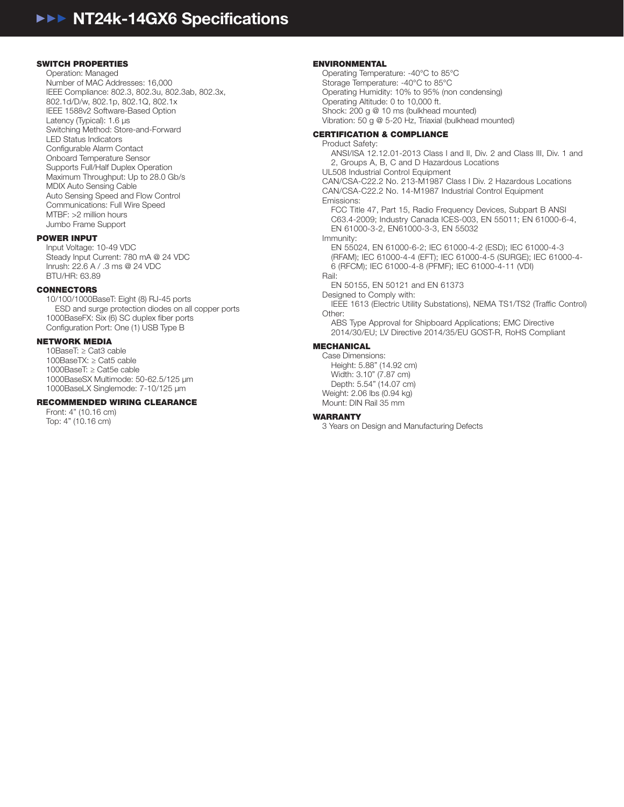#### SWITCH PROPERTIES

Operation: Managed Number of MAC Addresses: 16,000 IEEE Compliance: 802.3, 802.3u, 802.3ab, 802.3x, 802.1d/D/w, 802.1p, 802.1Q, 802.1x IEEE 1588v2 Software-Based Option Latency (Typical): 1.6 μs Switching Method: Store-and-Forward LED Status Indicators Configurable Alarm Contact Onboard Temperature Sensor Supports Full/Half Duplex Operation Maximum Throughput: Up to 28.0 Gb/s MDIX Auto Sensing Cable Auto Sensing Speed and Flow Control Communications: Full Wire Speed MTBF: >2 million hours Jumbo Frame Support

#### POWER INPUT

Input Voltage: 10-49 VDC Steady Input Current: 780 mA @ 24 VDC Inrush: 22.6 A / .3 ms @ 24 VDC BTU/HR: 63.89

#### **CONNECTORS**

10/100/1000BaseT: Eight (8) RJ-45 ports ESD and surge protection diodes on all copper ports 1000BaseFX: Six (6) SC duplex fiber ports Configuration Port: One (1) USB Type B

### NETWORK MEDIA

10BaseT: ≥ Cat3 cable 100BaseTX: ≥ Cat5 cable 1000BaseT: ≥ Cat5e cable 1000BaseSX Multimode: 50-62.5/125 μm 1000BaseLX Singlemode: 7-10/125 μm

#### RECOMMENDED WIRING CLEARANCE

Front: 4" (10.16 cm) Top: 4" (10.16 cm)

#### ENVIRONMENTAL

Operating Temperature: -40°C to 85°C Storage Temperature: -40°C to 85°C Operating Humidity: 10% to 95% (non condensing) Operating Altitude: 0 to 10,000 ft. Shock: 200 g @ 10 ms (bulkhead mounted) Vibration: 50 g @ 5-20 Hz, Triaxial (bulkhead mounted)

# CERTIFICATION & COMPLIANCE

Product Safety: ANSI/ISA 12.12.01-2013 Class I and II, Div. 2 and Class III, Div. 1 and 2, Groups A, B, C and D Hazardous Locations UL508 Industrial Control Equipment CAN/CSA-C22.2 No. 213-M1987 Class I Div. 2 Hazardous Locations CAN/CSA-C22.2 No. 14-M1987 Industrial Control Equipment Emissions: FCC Title 47, Part 15, Radio Frequency Devices, Subpart B ANSI C63.4-2009; Industry Canada ICES-003, EN 55011; EN 61000-6-4, EN 61000-3-2, EN61000-3-3, EN 55032 Immunity: EN 55024, EN 61000-6-2; IEC 61000-4-2 (ESD); IEC 61000-4-3 (RFAM); IEC 61000-4-4 (EFT); IEC 61000-4-5 (SURGE); IEC 61000-4- 6 (RFCM); IEC 61000-4-8 (PFMF); IEC 61000-4-11 (VDI) Rail: EN 50155, EN 50121 and EN 61373 Designed to Comply with: IEEE 1613 (Electric Utility Substations), NEMA TS1/TS2 (Traffic Control) Other: ABS Type Approval for Shipboard Applications; EMC Directive 2014/30/EU; LV Directive 2014/35/EU GOST-R, RoHS Compliant MECHANICAL

Case Dimensions: Height: 5.88" (14.92 cm) Width: 3.10" (7.87 cm) Depth: 5.54" (14.07 cm) Weight: 2.06 lbs (0.94 kg) Mount: DIN Rail 35 mm

#### **WARRANTY**

3 Years on Design and Manufacturing Defects